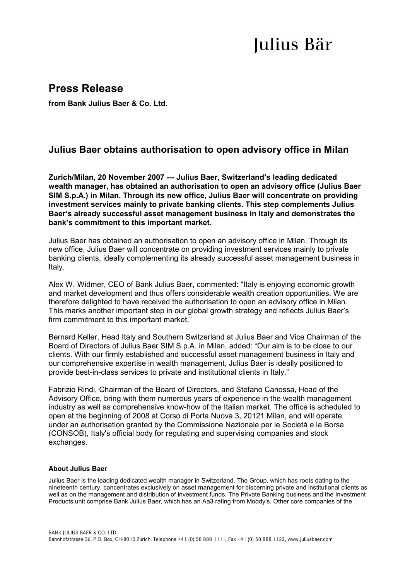## Julius Bär

## **Press Release**

**from Bank Julius Baer & Co. Ltd.** 

## **Julius Baer obtains authorisation to open advisory office in Milan**

**Zurich/Milan, 20 November 2007 --- Julius Baer, Switzerland's leading dedicated wealth manager, has obtained an authorisation to open an advisory office (Julius Baer SIM S.p.A.) in Milan. Through its new office, Julius Baer will concentrate on providing investment services mainly to private banking clients. This step complements Julius Baer's already successful asset management business in Italy and demonstrates the bank's commitment to this important market.** 

Julius Baer has obtained an authorisation to open an advisory office in Milan. Through its new office, Julius Baer will concentrate on providing investment services mainly to private banking clients, ideally complementing its already successful asset management business in Italy.

Alex W. Widmer, CEO of Bank Julius Baer, commented: "Italy is enjoying economic growth and market development and thus offers considerable wealth creation opportunities. We are therefore delighted to have received the authorisation to open an advisory office in Milan. This marks another important step in our global growth strategy and reflects Julius Baer's firm commitment to this important market."

Bernard Keller, Head Italy and Southern Switzerland at Julius Baer and Vice Chairman of the Board of Directors of Julius Baer SIM S.p.A. in Milan, added: "Our aim is to be close to our clients. With our firmly established and successful asset management business in Italy and our comprehensive expertise in wealth management, Julius Baer is ideally positioned to provide best-in-class services to private and institutional clients in Italy."

Fabrizio Rindi, Chairman of the Board of Directors, and Stefano Canossa, Head of the Advisory Office, bring with them numerous years of experience in the wealth management industry as well as comprehensive know-how of the Italian market. The office is scheduled to open at the beginning of 2008 at Corso di Porta Nuova 3, 20121 Milan, and will operate under an authorisation granted by the Commissione Nazionale per le Società e la Borsa (CONSOB), Italy's official body for regulating and supervising companies and stock exchanges.

## **About Julius Baer**

Julius Baer is the leading dedicated wealth manager in Switzerland. The Group, which has roots dating to the nineteenth century, concentrates exclusively on asset management for discerning private and institutional clients as well as on the management and distribution of investment funds. The Private Banking business and the Investment Products unit comprise Bank Julius Baer, which has an Aa3 rating from Moody's. Other core companies of the